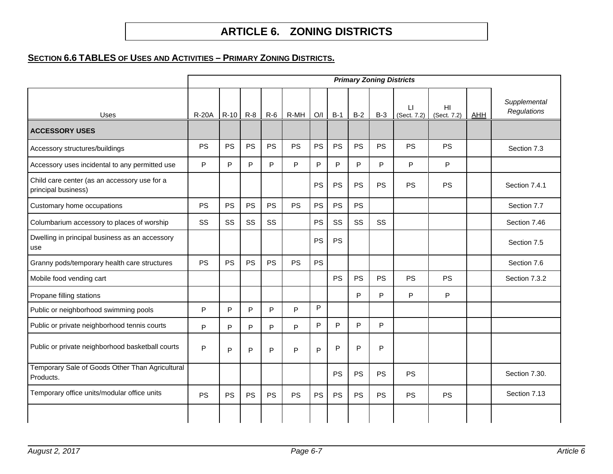#### **SECTION 6.6 TABLES OF USES AND ACTIVITIES – PRIMARY ZONING DISTRICTS.**

|                                                                     |              |           |           |           |           |           |           |           |           | <b>Primary Zoning Districts</b> |                   |            |                             |
|---------------------------------------------------------------------|--------------|-----------|-----------|-----------|-----------|-----------|-----------|-----------|-----------|---------------------------------|-------------------|------------|-----------------------------|
| Uses                                                                | <b>R-20A</b> | R-10 R-8  |           | $R-6$     | $R-MH$    | O/I       | $B-1$     | $B-2$     | $B-3$     | $\mathbf{L}$<br>(Sect. 7.2)     | HI<br>(Sect. 7.2) | <b>AHH</b> | Supplemental<br>Regulations |
| <b>ACCESSORY USES</b>                                               |              |           |           |           |           |           |           |           |           |                                 |                   |            |                             |
| Accessory structures/buildings                                      | PS           | <b>PS</b> | <b>PS</b> | PS        | PS        | PS        | PS        | PS        | <b>PS</b> | <b>PS</b>                       | <b>PS</b>         |            | Section 7.3                 |
| Accessory uses incidental to any permitted use                      | P            | P         | P         | P         | P         | P         | P         | P         | P         | P                               | P                 |            |                             |
| Child care center (as an accessory use for a<br>principal business) |              |           |           |           |           | <b>PS</b> | <b>PS</b> | PS        | <b>PS</b> | <b>PS</b>                       | <b>PS</b>         |            | Section 7.4.1               |
| Customary home occupations                                          | <b>PS</b>    | <b>PS</b> | <b>PS</b> | <b>PS</b> | <b>PS</b> | <b>PS</b> | <b>PS</b> | <b>PS</b> |           |                                 |                   |            | Section 7.7                 |
| Columbarium accessory to places of worship                          | SS           | SS        | SS        | SS        |           | <b>PS</b> | SS        | SS        | SS        |                                 |                   |            | Section 7.46                |
| Dwelling in principal business as an accessory<br>use               |              |           |           |           |           | <b>PS</b> | <b>PS</b> |           |           |                                 |                   |            | Section 7.5                 |
| Granny pods/temporary health care structures                        | <b>PS</b>    | <b>PS</b> | <b>PS</b> | <b>PS</b> | <b>PS</b> | <b>PS</b> |           |           |           |                                 |                   |            | Section 7.6                 |
| Mobile food vending cart                                            |              |           |           |           |           |           | <b>PS</b> | PS        | <b>PS</b> | <b>PS</b>                       | <b>PS</b>         |            | Section 7.3.2               |
| Propane filling stations                                            |              |           |           |           |           |           |           | P         | P.        | P                               | P                 |            |                             |
| Public or neighborhood swimming pools                               | P            | P         | P         | P         | P         | P         |           |           |           |                                 |                   |            |                             |
| Public or private neighborhood tennis courts                        | P            | P         | P         | P         | P         | P         | P         | P         | P         |                                 |                   |            |                             |
| Public or private neighborhood basketball courts                    | P            | P         | P         | P         | P         | P         | P         | P         | P         |                                 |                   |            |                             |
| Temporary Sale of Goods Other Than Agricultural<br>Products.        |              |           |           |           |           |           | PS        | PS        | <b>PS</b> | <b>PS</b>                       |                   |            | Section 7.30.               |
| Temporary office units/modular office units                         | <b>PS</b>    | <b>PS</b> | <b>PS</b> | <b>PS</b> | <b>PS</b> | <b>PS</b> | <b>PS</b> | <b>PS</b> | <b>PS</b> | <b>PS</b>                       | <b>PS</b>         |            | Section 7.13                |
|                                                                     |              |           |           |           |           |           |           |           |           |                                 |                   |            |                             |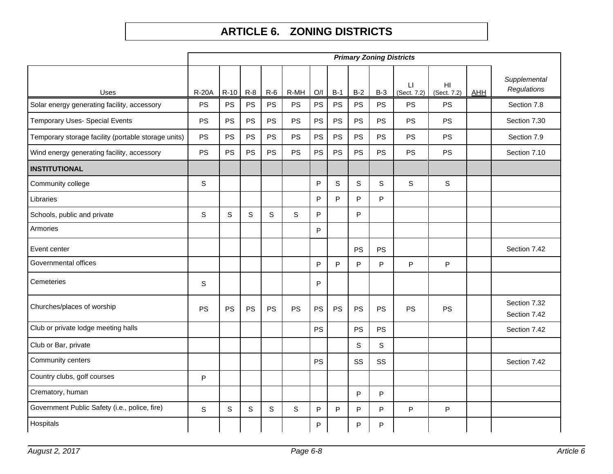|                                                     |              |             |       |           |           |           |              |              |              | <b>Primary Zoning Districts</b>        |                                |            |                              |
|-----------------------------------------------------|--------------|-------------|-------|-----------|-----------|-----------|--------------|--------------|--------------|----------------------------------------|--------------------------------|------------|------------------------------|
| Uses                                                | <b>R-20A</b> | $R-10$      | $R-8$ | $R-6$     | R-MH      | O/I       | $B-1$        | $B-2$        | $B-3$        | $\lfloor \cdot \rfloor$<br>(Sect. 7.2) | H <sub>II</sub><br>(Sect. 7.2) | <b>AHH</b> | Supplemental<br>Regulations  |
| Solar energy generating facility, accessory         | <b>PS</b>    | PS          | PS    | PS        | <b>PS</b> | PS        | PS           | <b>PS</b>    | <b>PS</b>    | <b>PS</b>                              | PS                             |            | Section 7.8                  |
| Temporary Uses- Special Events                      | <b>PS</b>    | PS          | PS    | <b>PS</b> | <b>PS</b> | PS        | PS           | <b>PS</b>    | PS           | <b>PS</b>                              | <b>PS</b>                      |            | Section 7.30                 |
| Temporary storage facility (portable storage units) | <b>PS</b>    | PS          | PS    | PS        | <b>PS</b> | PS        | PS           | <b>PS</b>    | PS           | <b>PS</b>                              | <b>PS</b>                      |            | Section 7.9                  |
| Wind energy generating facility, accessory          | PS           | PS          | PS    | <b>PS</b> | <b>PS</b> | PS        | <b>PS</b>    | <b>PS</b>    | <b>PS</b>    | <b>PS</b>                              | <b>PS</b>                      |            | Section 7.10                 |
| <b>INSTITUTIONAL</b>                                |              |             |       |           |           |           |              |              |              |                                        |                                |            |                              |
| Community college                                   | S            |             |       |           |           | P         | $\mathsf S$  | $\mathsf{S}$ | $\mathsf S$  | $\mathsf{S}$                           | S                              |            |                              |
| Libraries                                           |              |             |       |           |           | P         | P            | P            | P            |                                        |                                |            |                              |
| Schools, public and private                         | S            | $\mathsf S$ | S     | S         | S         | P         |              | P            |              |                                        |                                |            |                              |
| Armories                                            |              |             |       |           |           | P         |              |              |              |                                        |                                |            |                              |
| Event center                                        |              |             |       |           |           |           |              | <b>PS</b>    | PS           |                                        |                                |            | Section 7.42                 |
| Governmental offices                                |              |             |       |           |           | P         | $\mathsf{P}$ | P            | P            | P.                                     | P                              |            |                              |
| Cemeteries                                          | S            |             |       |           |           | P         |              |              |              |                                        |                                |            |                              |
| Churches/places of worship                          | <b>PS</b>    | PS          | PS    | PS        | <b>PS</b> | PS        | PS           | PS           | PS           | <b>PS</b>                              | PS                             |            | Section 7.32<br>Section 7.42 |
| Club or private lodge meeting halls                 |              |             |       |           |           | <b>PS</b> |              | <b>PS</b>    | <b>PS</b>    |                                        |                                |            | Section 7.42                 |
| Club or Bar, private                                |              |             |       |           |           |           |              | S            | $\mathsf{s}$ |                                        |                                |            |                              |
| Community centers                                   |              |             |       |           |           | <b>PS</b> |              | SS           | SS           |                                        |                                |            | Section 7.42                 |
| Country clubs, golf courses                         | P            |             |       |           |           |           |              |              |              |                                        |                                |            |                              |
| Crematory, human                                    |              |             |       |           |           |           |              | P            | P            |                                        |                                |            |                              |
| Government Public Safety (i.e., police, fire)       | S            | S           | S     | S         | S         | P         | P            | P            | P            | P                                      | P                              |            |                              |
| Hospitals                                           |              |             |       |           |           | P         |              | P            | P            |                                        |                                |            |                              |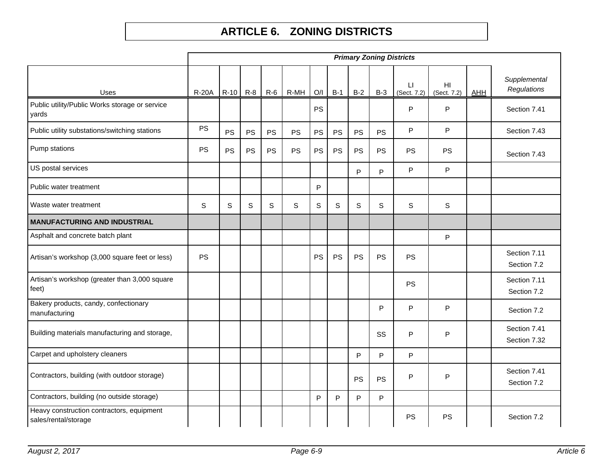|                                                                   |              |           |           |           |           |             |             |           | <b>Primary Zoning Districts</b> |                                        |                                |            |                              |
|-------------------------------------------------------------------|--------------|-----------|-----------|-----------|-----------|-------------|-------------|-----------|---------------------------------|----------------------------------------|--------------------------------|------------|------------------------------|
| Uses                                                              | <b>R-20A</b> | $R-10$    | $R-8$     | $R-6$     | R-MH      | O/I         | $B-1$       | $B-2$     | $B-3$                           | $\lfloor \cdot \rfloor$<br>(Sect. 7.2) | H <sub>II</sub><br>(Sect. 7.2) | <b>AHH</b> | Supplemental<br>Regulations  |
| Public utility/Public Works storage or service<br>yards           |              |           |           |           |           | PS          |             |           |                                 | P                                      | P                              |            | Section 7.41                 |
| Public utility substations/switching stations                     | <b>PS</b>    | <b>PS</b> | <b>PS</b> | <b>PS</b> | <b>PS</b> | PS          | PS          | <b>PS</b> | <b>PS</b>                       | P                                      | P                              |            | Section 7.43                 |
| Pump stations                                                     | <b>PS</b>    | PS        | PS        | <b>PS</b> | <b>PS</b> | <b>PS</b>   | PS          | <b>PS</b> | PS                              | PS                                     | PS                             |            | Section 7.43                 |
| US postal services                                                |              |           |           |           |           |             |             | P         | P                               | P                                      | P                              |            |                              |
| Public water treatment                                            |              |           |           |           |           | P           |             |           |                                 |                                        |                                |            |                              |
| Waste water treatment                                             | S            | S         | S         | S         | S         | $\mathbb S$ | $\mathbb S$ | S         | $\mathsf{s}$                    | S                                      | S                              |            |                              |
| <b>MANUFACTURING AND INDUSTRIAL</b>                               |              |           |           |           |           |             |             |           |                                 |                                        |                                |            |                              |
| Asphalt and concrete batch plant                                  |              |           |           |           |           |             |             |           |                                 |                                        | P                              |            |                              |
| Artisan's workshop (3,000 square feet or less)                    | PS           |           |           |           |           | PS          | PS          | PS        | PS                              | <b>PS</b>                              |                                |            | Section 7.11<br>Section 7.2  |
| Artisan's workshop (greater than 3,000 square<br>feet)            |              |           |           |           |           |             |             |           |                                 | <b>PS</b>                              |                                |            | Section 7.11<br>Section 7.2  |
| Bakery products, candy, confectionary<br>manufacturing            |              |           |           |           |           |             |             |           | P                               | P                                      | P                              |            | Section 7.2                  |
| Building materials manufacturing and storage,                     |              |           |           |           |           |             |             |           | SS                              | P                                      | P                              |            | Section 7.41<br>Section 7.32 |
| Carpet and upholstery cleaners                                    |              |           |           |           |           |             |             | P         | P                               | P                                      |                                |            |                              |
| Contractors, building (with outdoor storage)                      |              |           |           |           |           |             |             | <b>PS</b> | <b>PS</b>                       | P                                      | P                              |            | Section 7.41<br>Section 7.2  |
| Contractors, building (no outside storage)                        |              |           |           |           |           | P           | P           | P         | P                               |                                        |                                |            |                              |
| Heavy construction contractors, equipment<br>sales/rental/storage |              |           |           |           |           |             |             |           |                                 | <b>PS</b>                              | <b>PS</b>                      |            | Section 7.2                  |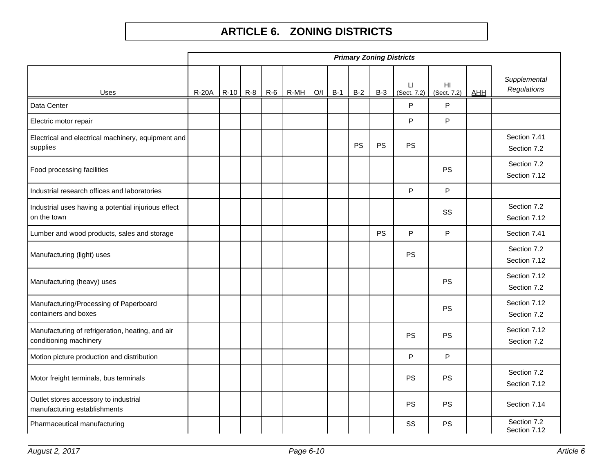|                                                                            |              |              |       |      |     |       |           |           | <b>Primary Zoning Districts</b> |                               |     |                             |
|----------------------------------------------------------------------------|--------------|--------------|-------|------|-----|-------|-----------|-----------|---------------------------------|-------------------------------|-----|-----------------------------|
| Uses                                                                       | <b>R-20A</b> | $R-10$ $R-8$ | $R-6$ | R-MH | O/I | $B-1$ | $B-2$     | $B-3$     | LI<br>(Sect. 7.2)               | H <sub>l</sub><br>(Sect. 7.2) | AHH | Supplemental<br>Regulations |
| Data Center                                                                |              |              |       |      |     |       |           |           | P                               | P                             |     |                             |
| Electric motor repair                                                      |              |              |       |      |     |       |           |           | P                               | P                             |     |                             |
| Electrical and electrical machinery, equipment and<br>supplies             |              |              |       |      |     |       | <b>PS</b> | PS        | <b>PS</b>                       |                               |     | Section 7.41<br>Section 7.2 |
| Food processing facilities                                                 |              |              |       |      |     |       |           |           |                                 | <b>PS</b>                     |     | Section 7.2<br>Section 7.12 |
| Industrial research offices and laboratories                               |              |              |       |      |     |       |           |           | P                               | P                             |     |                             |
| Industrial uses having a potential injurious effect<br>on the town         |              |              |       |      |     |       |           |           |                                 | SS                            |     | Section 7.2<br>Section 7.12 |
| Lumber and wood products, sales and storage                                |              |              |       |      |     |       |           | <b>PS</b> | P                               | P                             |     | Section 7.41                |
| Manufacturing (light) uses                                                 |              |              |       |      |     |       |           |           | <b>PS</b>                       |                               |     | Section 7.2<br>Section 7.12 |
| Manufacturing (heavy) uses                                                 |              |              |       |      |     |       |           |           |                                 | <b>PS</b>                     |     | Section 7.12<br>Section 7.2 |
| Manufacturing/Processing of Paperboard<br>containers and boxes             |              |              |       |      |     |       |           |           |                                 | <b>PS</b>                     |     | Section 7.12<br>Section 7.2 |
| Manufacturing of refrigeration, heating, and air<br>conditioning machinery |              |              |       |      |     |       |           |           | PS                              | <b>PS</b>                     |     | Section 7.12<br>Section 7.2 |
| Motion picture production and distribution                                 |              |              |       |      |     |       |           |           | P                               | P                             |     |                             |
| Motor freight terminals, bus terminals                                     |              |              |       |      |     |       |           |           | PS                              | PS                            |     | Section 7.2<br>Section 7.12 |
| Outlet stores accessory to industrial<br>manufacturing establishments      |              |              |       |      |     |       |           |           | PS                              | <b>PS</b>                     |     | Section 7.14                |
| Pharmaceutical manufacturing                                               |              |              |       |      |     |       |           |           | SS                              | PS                            |     | Section 7.2<br>Section 7.12 |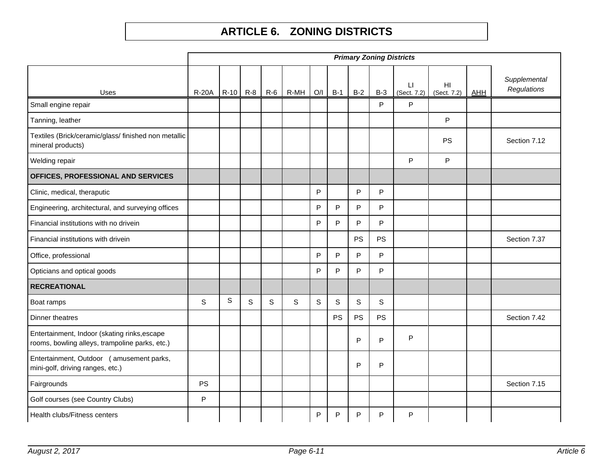|                                                                                                |              |             |       |       |      |     |       |           |              | <b>Primary Zoning Districts</b> |                                |            |                             |
|------------------------------------------------------------------------------------------------|--------------|-------------|-------|-------|------|-----|-------|-----------|--------------|---------------------------------|--------------------------------|------------|-----------------------------|
| Uses                                                                                           | <b>R-20A</b> | R-10        | $R-8$ | $R-6$ | R-MH | O/I | $B-1$ | $B-2$     | $B-3$        | $\sqcup$<br>(Sect. 7.2)         | H <sub>II</sub><br>(Sect. 7.2) | <b>AHH</b> | Supplemental<br>Regulations |
| Small engine repair                                                                            |              |             |       |       |      |     |       |           | P            | P                               |                                |            |                             |
| Tanning, leather                                                                               |              |             |       |       |      |     |       |           |              |                                 | P                              |            |                             |
| Textiles (Brick/ceramic/glass/ finished non metallic<br>mineral products)                      |              |             |       |       |      |     |       |           |              |                                 | <b>PS</b>                      |            | Section 7.12                |
| Welding repair                                                                                 |              |             |       |       |      |     |       |           |              | P                               | P                              |            |                             |
| OFFICES, PROFESSIONAL AND SERVICES                                                             |              |             |       |       |      |     |       |           |              |                                 |                                |            |                             |
| Clinic, medical, theraputic                                                                    |              |             |       |       |      | P   |       | P         | P            |                                 |                                |            |                             |
| Engineering, architectural, and surveying offices                                              |              |             |       |       |      | P   | P     | P         | P            |                                 |                                |            |                             |
| Financial institutions with no drivein                                                         |              |             |       |       |      | P   | P     | P         | P            |                                 |                                |            |                             |
| Financial institutions with drivein                                                            |              |             |       |       |      |     |       | <b>PS</b> | <b>PS</b>    |                                 |                                |            | Section 7.37                |
| Office, professional                                                                           |              |             |       |       |      | P   | P     | P         | P            |                                 |                                |            |                             |
| Opticians and optical goods                                                                    |              |             |       |       |      | P   | P     | P         | P            |                                 |                                |            |                             |
| <b>RECREATIONAL</b>                                                                            |              |             |       |       |      |     |       |           |              |                                 |                                |            |                             |
| Boat ramps                                                                                     | S            | $\mathsf S$ | S     | S     | S    | S   | S     | S         | $\mathsf{S}$ |                                 |                                |            |                             |
| Dinner theatres                                                                                |              |             |       |       |      |     | PS    | PS        | <b>PS</b>    |                                 |                                |            | Section 7.42                |
| Entertainment, Indoor (skating rinks, escape<br>rooms, bowling alleys, trampoline parks, etc.) |              |             |       |       |      |     |       | P         | P            | P                               |                                |            |                             |
| Entertainment, Outdoor (amusement parks,<br>mini-golf, driving ranges, etc.)                   |              |             |       |       |      |     |       | P         | P            |                                 |                                |            |                             |
| Fairgrounds                                                                                    | PS           |             |       |       |      |     |       |           |              |                                 |                                |            | Section 7.15                |
| Golf courses (see Country Clubs)                                                               | P            |             |       |       |      |     |       |           |              |                                 |                                |            |                             |
| Health clubs/Fitness centers                                                                   |              |             |       |       |      | P   | P     | P         | P            | P                               |                                |            |                             |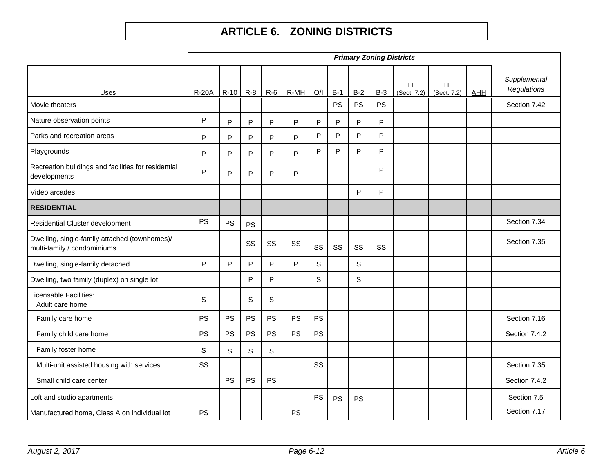|                                                                              |       |           |              |             |           |           |           |              | <b>Primary Zoning Districts</b> |                        |                               |            |                             |
|------------------------------------------------------------------------------|-------|-----------|--------------|-------------|-----------|-----------|-----------|--------------|---------------------------------|------------------------|-------------------------------|------------|-----------------------------|
| Uses                                                                         | R-20A | R-10      | $R - 8$      | $R-6$       | R-MH      | O/I       | $B-1$     | $B-2$        | $B-3$                           | $\perp$<br>(Sect. 7.2) | H <sub>l</sub><br>(Sect. 7.2) | <b>AHH</b> | Supplemental<br>Regulations |
| Movie theaters                                                               |       |           |              |             |           |           | <b>PS</b> | <b>PS</b>    | <b>PS</b>                       |                        |                               |            | Section 7.42                |
| Nature observation points                                                    | P     | P         | P            | P           | P         | P         | P         | P            | P                               |                        |                               |            |                             |
| Parks and recreation areas                                                   | P     | P         | P            | P           | P         | P         | P         | P            | P                               |                        |                               |            |                             |
| Playgrounds                                                                  | P     | P         | P            | P           | P         | P.        | P         | P            | P                               |                        |                               |            |                             |
| Recreation buildings and facilities for residential<br>developments          | P     | P         | P            | P           | P         |           |           |              | P                               |                        |                               |            |                             |
| Video arcades                                                                |       |           |              |             |           |           |           | P            | P                               |                        |                               |            |                             |
| <b>RESIDENTIAL</b>                                                           |       |           |              |             |           |           |           |              |                                 |                        |                               |            |                             |
| Residential Cluster development                                              | PS    | <b>PS</b> | <b>PS</b>    |             |           |           |           |              |                                 |                        |                               |            | Section 7.34                |
| Dwelling, single-family attached (townhomes)/<br>multi-family / condominiums |       |           | SS           | SS          | SS        | SS        | SS        | SS           | SS                              |                        |                               |            | Section 7.35                |
| Dwelling, single-family detached                                             | P     | P         | P            | P           | P         | S         |           | $\mathsf{s}$ |                                 |                        |                               |            |                             |
| Dwelling, two family (duplex) on single lot                                  |       |           | P            | P           |           | S         |           | $\mathsf{s}$ |                                 |                        |                               |            |                             |
| Licensable Facilities:<br>Adult care home                                    | S     |           | S            | $\mathbb S$ |           |           |           |              |                                 |                        |                               |            |                             |
| Family care home                                                             | PS    | <b>PS</b> | <b>PS</b>    | PS          | <b>PS</b> | <b>PS</b> |           |              |                                 |                        |                               |            | Section 7.16                |
| Family child care home                                                       | PS    | <b>PS</b> | <b>PS</b>    | <b>PS</b>   | <b>PS</b> | <b>PS</b> |           |              |                                 |                        |                               |            | Section 7.4.2               |
| Family foster home                                                           | S     | S         | $\mathsf{S}$ | S           |           |           |           |              |                                 |                        |                               |            |                             |
| Multi-unit assisted housing with services                                    | SS    |           |              |             |           | SS        |           |              |                                 |                        |                               |            | Section 7.35                |
| Small child care center                                                      |       | <b>PS</b> | <b>PS</b>    | <b>PS</b>   |           |           |           |              |                                 |                        |                               |            | Section 7.4.2               |
| Loft and studio apartments                                                   |       |           |              |             |           | <b>PS</b> | <b>PS</b> | <b>PS</b>    |                                 |                        |                               |            | Section 7.5                 |
| Manufactured home, Class A on individual lot                                 | PS    |           |              |             | PS        |           |           |              |                                 |                        |                               |            | Section 7.17                |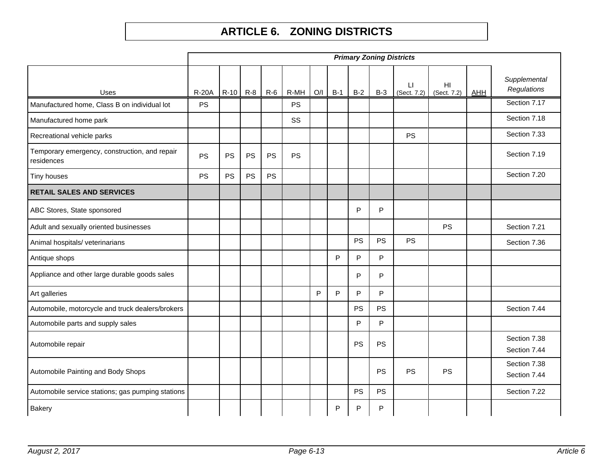|                                                             |              |           |       |           |           |     |       |           | <b>Primary Zoning Districts</b> |                         |                                |            |                              |
|-------------------------------------------------------------|--------------|-----------|-------|-----------|-----------|-----|-------|-----------|---------------------------------|-------------------------|--------------------------------|------------|------------------------------|
| Uses                                                        | <b>R-20A</b> | $R-10$    | $R-8$ | $R-6$     | R-MH      | O/I | $B-1$ | $B-2$     | $B-3$                           | $\sqcup$<br>(Sect. 7.2) | H <sub>II</sub><br>(Sect. 7.2) | <b>AHH</b> | Supplemental<br>Regulations  |
| Manufactured home, Class B on individual lot                | <b>PS</b>    |           |       |           | <b>PS</b> |     |       |           |                                 |                         |                                |            | Section 7.17                 |
| Manufactured home park                                      |              |           |       |           | SS        |     |       |           |                                 |                         |                                |            | Section 7.18                 |
| Recreational vehicle parks                                  |              |           |       |           |           |     |       |           |                                 | PS                      |                                |            | Section 7.33                 |
| Temporary emergency, construction, and repair<br>residences | <b>PS</b>    | PS        | PS    | PS        | <b>PS</b> |     |       |           |                                 |                         |                                |            | Section 7.19                 |
| Tiny houses                                                 | <b>PS</b>    | <b>PS</b> | PS    | <b>PS</b> |           |     |       |           |                                 |                         |                                |            | Section 7.20                 |
| <b>RETAIL SALES AND SERVICES</b>                            |              |           |       |           |           |     |       |           |                                 |                         |                                |            |                              |
| ABC Stores, State sponsored                                 |              |           |       |           |           |     |       | P         | P                               |                         |                                |            |                              |
| Adult and sexually oriented businesses                      |              |           |       |           |           |     |       |           |                                 |                         | <b>PS</b>                      |            | Section 7.21                 |
| Animal hospitals/ veterinarians                             |              |           |       |           |           |     |       | <b>PS</b> | <b>PS</b>                       | <b>PS</b>               |                                |            | Section 7.36                 |
| Antique shops                                               |              |           |       |           |           |     | P     | P         | P                               |                         |                                |            |                              |
| Appliance and other large durable goods sales               |              |           |       |           |           |     |       | P         | P                               |                         |                                |            |                              |
| Art galleries                                               |              |           |       |           |           | P   | P     | P         | P                               |                         |                                |            |                              |
| Automobile, motorcycle and truck dealers/brokers            |              |           |       |           |           |     |       | <b>PS</b> | <b>PS</b>                       |                         |                                |            | Section 7.44                 |
| Automobile parts and supply sales                           |              |           |       |           |           |     |       | P         | P                               |                         |                                |            |                              |
| Automobile repair                                           |              |           |       |           |           |     |       | <b>PS</b> | <b>PS</b>                       |                         |                                |            | Section 7.38<br>Section 7.44 |
| Automobile Painting and Body Shops                          |              |           |       |           |           |     |       |           | PS                              | <b>PS</b>               | <b>PS</b>                      |            | Section 7.38<br>Section 7.44 |
| Automobile service stations; gas pumping stations           |              |           |       |           |           |     |       | PS        | <b>PS</b>                       |                         |                                |            | Section 7.22                 |
| Bakery                                                      |              |           |       |           |           |     | P     | P         | P                               |                         |                                |            |                              |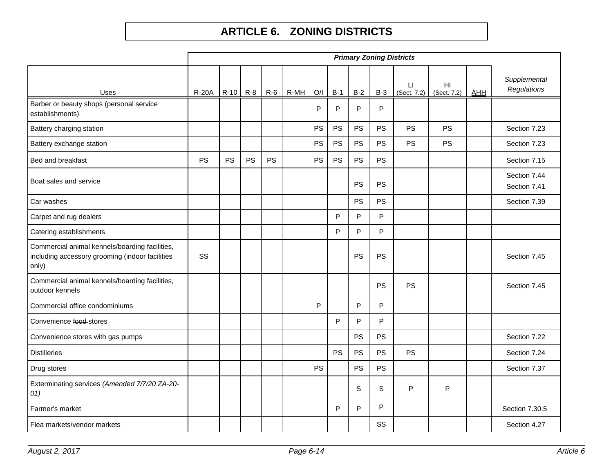|                                                                                                            |              |           |           |           |      |           |       |           | <b>Primary Zoning Districts</b> |                   |                   |            |                              |
|------------------------------------------------------------------------------------------------------------|--------------|-----------|-----------|-----------|------|-----------|-------|-----------|---------------------------------|-------------------|-------------------|------------|------------------------------|
| Uses                                                                                                       | <b>R-20A</b> |           | R-10 R-8  | $R-6$     | R-MH | O/I       | $B-1$ | $B-2$     | $B-3$                           | LI<br>(Sect. 7.2) | HI<br>(Sect. 7.2) | <b>AHH</b> | Supplemental<br>Regulations  |
| Barber or beauty shops (personal service<br>establishments)                                                |              |           |           |           |      | P         | P     | P         | P                               |                   |                   |            |                              |
| Battery charging station                                                                                   |              |           |           |           |      | <b>PS</b> | PS    | <b>PS</b> | PS                              | <b>PS</b>         | <b>PS</b>         |            | Section 7.23                 |
| Battery exchange station                                                                                   |              |           |           |           |      | <b>PS</b> | PS    | PS        | <b>PS</b>                       | <b>PS</b>         | <b>PS</b>         |            | Section 7.23                 |
| Bed and breakfast                                                                                          | <b>PS</b>    | <b>PS</b> | <b>PS</b> | <b>PS</b> |      | PS        | PS    | PS        | <b>PS</b>                       |                   |                   |            | Section 7.15                 |
| Boat sales and service                                                                                     |              |           |           |           |      |           |       | <b>PS</b> | <b>PS</b>                       |                   |                   |            | Section 7.44<br>Section 7.41 |
| Car washes                                                                                                 |              |           |           |           |      |           |       | <b>PS</b> | <b>PS</b>                       |                   |                   |            | Section 7.39                 |
| Carpet and rug dealers                                                                                     |              |           |           |           |      |           | P     | P         | P                               |                   |                   |            |                              |
| Catering establishments                                                                                    |              |           |           |           |      |           | P     | P         | P                               |                   |                   |            |                              |
| Commercial animal kennels/boarding facilities,<br>including accessory grooming (indoor facilities<br>only) | SS           |           |           |           |      |           |       | PS        | PS                              |                   |                   |            | Section 7.45                 |
| Commercial animal kennels/boarding facilities,<br>outdoor kennels                                          |              |           |           |           |      |           |       |           | PS                              | <b>PS</b>         |                   |            | Section 7.45                 |
| Commercial office condominiums                                                                             |              |           |           |           |      | P         |       | P         | P                               |                   |                   |            |                              |
| Convenience food-stores                                                                                    |              |           |           |           |      |           | P     | P         | P                               |                   |                   |            |                              |
| Convenience stores with gas pumps                                                                          |              |           |           |           |      |           |       | <b>PS</b> | <b>PS</b>                       |                   |                   |            | Section 7.22                 |
| <b>Distilleries</b>                                                                                        |              |           |           |           |      |           | PS    | <b>PS</b> | <b>PS</b>                       | <b>PS</b>         |                   |            | Section 7.24                 |
| Drug stores                                                                                                |              |           |           |           |      | PS        |       | <b>PS</b> | <b>PS</b>                       |                   |                   |            | Section 7.37                 |
| Exterminating services (Amended 7/7/20 ZA-20-<br>01)                                                       |              |           |           |           |      |           |       | S         | S                               | P                 | P                 |            |                              |
| Farmer's market                                                                                            |              |           |           |           |      |           | P     | P         | P                               |                   |                   |            | Section 7.30.5               |
| Flea markets/vendor markets                                                                                |              |           |           |           |      |           |       |           | SS                              |                   |                   |            | Section 4.27                 |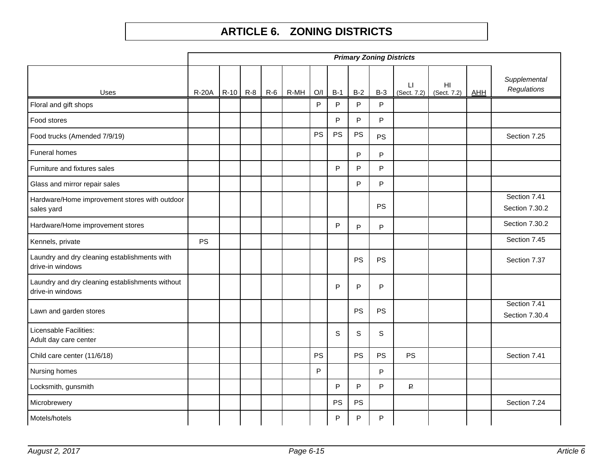|                                                                     |                      |  |       |      |           |       |           | <b>Primary Zoning Districts</b> |                        |                   |            |                                |
|---------------------------------------------------------------------|----------------------|--|-------|------|-----------|-------|-----------|---------------------------------|------------------------|-------------------|------------|--------------------------------|
| Uses                                                                | $R-20A$ $R-10$ $R-8$ |  | $R-6$ | R-MH | O/I       | $B-1$ | $B-2$     | $B-3$                           | $\perp$<br>(Sect. 7.2) | HI<br>(Sect. 7.2) | <b>AHH</b> | Supplemental<br>Regulations    |
| Floral and gift shops                                               |                      |  |       |      | P         | P     | P         | P                               |                        |                   |            |                                |
| Food stores                                                         |                      |  |       |      |           | P     | P         | P                               |                        |                   |            |                                |
| Food trucks (Amended 7/9/19)                                        |                      |  |       |      | PS        | PS    | PS        | <b>PS</b>                       |                        |                   |            | Section 7.25                   |
| Funeral homes                                                       |                      |  |       |      |           |       | P         | P                               |                        |                   |            |                                |
| Furniture and fixtures sales                                        |                      |  |       |      |           | P     | P         | P                               |                        |                   |            |                                |
| Glass and mirror repair sales                                       |                      |  |       |      |           |       | P         | P                               |                        |                   |            |                                |
| Hardware/Home improvement stores with outdoor<br>sales yard         |                      |  |       |      |           |       |           | <b>PS</b>                       |                        |                   |            | Section 7.41<br>Section 7.30.2 |
| Hardware/Home improvement stores                                    |                      |  |       |      |           | P     | P         | P                               |                        |                   |            | Section 7.30.2                 |
| Kennels, private                                                    | <b>PS</b>            |  |       |      |           |       |           |                                 |                        |                   |            | Section 7.45                   |
| Laundry and dry cleaning establishments with<br>drive-in windows    |                      |  |       |      |           |       | <b>PS</b> | <b>PS</b>                       |                        |                   |            | Section 7.37                   |
| Laundry and dry cleaning establishments without<br>drive-in windows |                      |  |       |      |           | P     | P         | P                               |                        |                   |            |                                |
| Lawn and garden stores                                              |                      |  |       |      |           |       | <b>PS</b> | <b>PS</b>                       |                        |                   |            | Section 7.41<br>Section 7.30.4 |
| Licensable Facilities:<br>Adult day care center                     |                      |  |       |      |           | S     | S         | S                               |                        |                   |            |                                |
| Child care center (11/6/18)                                         |                      |  |       |      | <b>PS</b> |       | PS        | <b>PS</b>                       | PS                     |                   |            | Section 7.41                   |
| Nursing homes                                                       |                      |  |       |      | P         |       |           | P                               |                        |                   |            |                                |
| Locksmith, gunsmith                                                 |                      |  |       |      |           | P     | P         | P                               | ₽                      |                   |            |                                |
| Microbrewery                                                        |                      |  |       |      |           | PS    | PS        |                                 |                        |                   |            | Section 7.24                   |
| Motels/hotels                                                       |                      |  |       |      |           | P     | P         | P                               |                        |                   |            |                                |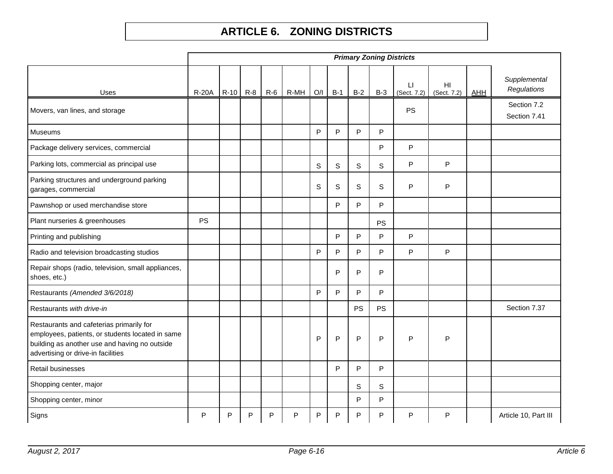|                                                                                                                                                                                     |              |   |          |       |      |     |       |             | <b>Primary Zoning Districts</b> |                        |                                       |            |                             |
|-------------------------------------------------------------------------------------------------------------------------------------------------------------------------------------|--------------|---|----------|-------|------|-----|-------|-------------|---------------------------------|------------------------|---------------------------------------|------------|-----------------------------|
| Uses                                                                                                                                                                                | <b>R-20A</b> |   | R-10 R-8 | $R-6$ | R-MH | O/I | $B-1$ | $B-2$       | $B-3$                           | $\perp$<br>(Sect. 7.2) | $\mathsf{H}\mathsf{I}$<br>(Sect. 7.2) | <b>AHH</b> | Supplemental<br>Regulations |
| Movers, van lines, and storage                                                                                                                                                      |              |   |          |       |      |     |       |             |                                 | <b>PS</b>              |                                       |            | Section 7.2<br>Section 7.41 |
| Museums                                                                                                                                                                             |              |   |          |       |      | P   | P     | P           | P                               |                        |                                       |            |                             |
| Package delivery services, commercial                                                                                                                                               |              |   |          |       |      |     |       |             | P                               | P                      |                                       |            |                             |
| Parking lots, commercial as principal use                                                                                                                                           |              |   |          |       |      | S   | S     | $\mathbf S$ | $\mathsf S$                     | P                      | P                                     |            |                             |
| Parking structures and underground parking<br>garages, commercial                                                                                                                   |              |   |          |       |      | S   | S     | S           | S                               | P                      | P                                     |            |                             |
| Pawnshop or used merchandise store                                                                                                                                                  |              |   |          |       |      |     | P     | P           | P                               |                        |                                       |            |                             |
| Plant nurseries & greenhouses                                                                                                                                                       | PS           |   |          |       |      |     |       |             | <b>PS</b>                       |                        |                                       |            |                             |
| Printing and publishing                                                                                                                                                             |              |   |          |       |      |     | P     | P           | P                               | P                      |                                       |            |                             |
| Radio and television broadcasting studios                                                                                                                                           |              |   |          |       |      | P   | P     | P           | P                               | P                      | P                                     |            |                             |
| Repair shops (radio, television, small appliances,<br>shoes, etc.)                                                                                                                  |              |   |          |       |      |     | P     | P           | P                               |                        |                                       |            |                             |
| Restaurants (Amended 3/6/2018)                                                                                                                                                      |              |   |          |       |      | P   | P     | P           | P                               |                        |                                       |            |                             |
| Restaurants with drive-in                                                                                                                                                           |              |   |          |       |      |     |       | <b>PS</b>   | <b>PS</b>                       |                        |                                       |            | Section 7.37                |
| Restaurants and cafeterias primarily for<br>employees, patients, or students located in same<br>building as another use and having no outside<br>advertising or drive-in facilities |              |   |          |       |      | P   | P     | P           | P                               | P                      | P                                     |            |                             |
| Retail businesses                                                                                                                                                                   |              |   |          |       |      |     | P     | P           | P                               |                        |                                       |            |                             |
| Shopping center, major                                                                                                                                                              |              |   |          |       |      |     |       | S           | S                               |                        |                                       |            |                             |
| Shopping center, minor                                                                                                                                                              |              |   |          |       |      |     |       | P           | P                               |                        |                                       |            |                             |
| Signs                                                                                                                                                                               | P            | P | P        | P     | P    | P   | P     | P           | P                               | P                      | P                                     |            | Article 10, Part III        |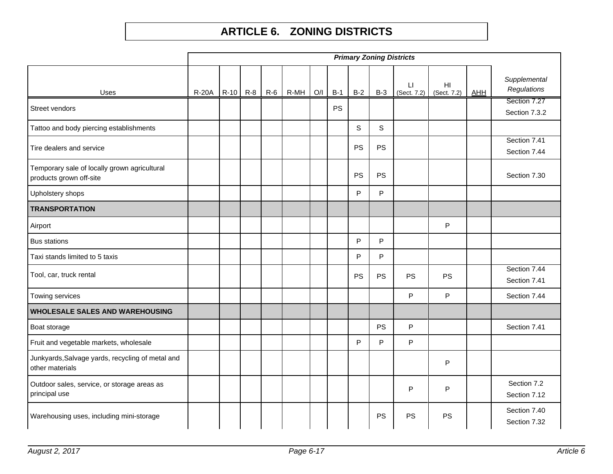|                                                                         |              |      |         |       |      |     |           |           | <b>Primary Zoning Districts</b> |                    |                               |            |                               |
|-------------------------------------------------------------------------|--------------|------|---------|-------|------|-----|-----------|-----------|---------------------------------|--------------------|-------------------------------|------------|-------------------------------|
| Uses                                                                    | <b>R-20A</b> | R-10 | $R - 8$ | $R-6$ | R-MH | O/I | $B-1$     | $B-2$     | $B-3$                           | LI.<br>(Sect. 7.2) | H <sub>l</sub><br>(Sect. 7.2) | <b>AHH</b> | Supplemental<br>Regulations   |
| Street vendors                                                          |              |      |         |       |      |     | <b>PS</b> |           |                                 |                    |                               |            | Section 7.27<br>Section 7.3.2 |
| Tattoo and body piercing establishments                                 |              |      |         |       |      |     |           | S         | $\mathsf{S}$                    |                    |                               |            |                               |
| Tire dealers and service                                                |              |      |         |       |      |     |           | <b>PS</b> | <b>PS</b>                       |                    |                               |            | Section 7.41<br>Section 7.44  |
| Temporary sale of locally grown agricultural<br>products grown off-site |              |      |         |       |      |     |           | PS        | <b>PS</b>                       |                    |                               |            | Section 7.30                  |
| Upholstery shops                                                        |              |      |         |       |      |     |           | P         | P                               |                    |                               |            |                               |
| <b>TRANSPORTATION</b>                                                   |              |      |         |       |      |     |           |           |                                 |                    |                               |            |                               |
| Airport                                                                 |              |      |         |       |      |     |           |           |                                 |                    | P                             |            |                               |
| <b>Bus stations</b>                                                     |              |      |         |       |      |     |           | P         | P                               |                    |                               |            |                               |
| Taxi stands limited to 5 taxis                                          |              |      |         |       |      |     |           | P         | P                               |                    |                               |            |                               |
| Tool, car, truck rental                                                 |              |      |         |       |      |     |           | <b>PS</b> | <b>PS</b>                       | <b>PS</b>          | <b>PS</b>                     |            | Section 7.44<br>Section 7.41  |
| Towing services                                                         |              |      |         |       |      |     |           |           |                                 | P                  | P                             |            | Section 7.44                  |
| <b>WHOLESALE SALES AND WAREHOUSING</b>                                  |              |      |         |       |      |     |           |           |                                 |                    |                               |            |                               |
| Boat storage                                                            |              |      |         |       |      |     |           |           | <b>PS</b>                       | P                  |                               |            | Section 7.41                  |
| Fruit and vegetable markets, wholesale                                  |              |      |         |       |      |     |           | P         | P                               | ${\sf P}$          |                               |            |                               |
| Junkyards, Salvage yards, recycling of metal and<br>other materials     |              |      |         |       |      |     |           |           |                                 |                    | P                             |            |                               |
| Outdoor sales, service, or storage areas as<br>principal use            |              |      |         |       |      |     |           |           |                                 | P                  | P                             |            | Section 7.2<br>Section 7.12   |
| Warehousing uses, including mini-storage                                |              |      |         |       |      |     |           |           | PS                              | PS                 | <b>PS</b>                     |            | Section 7.40<br>Section 7.32  |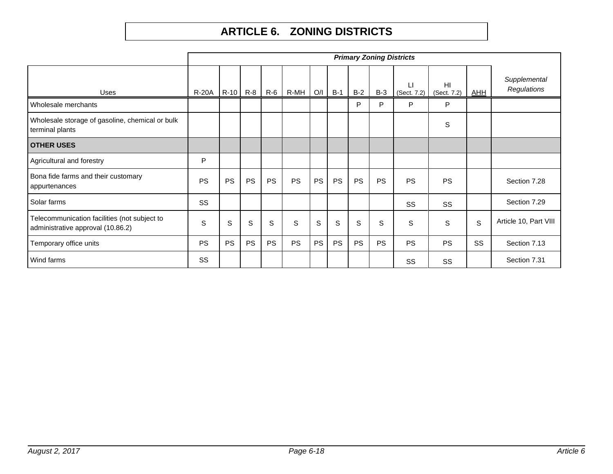|                                                                                   |              |           |           |           |           |           |           |           | <b>Primary Zoning Districts</b> |                  |                   |            |                             |
|-----------------------------------------------------------------------------------|--------------|-----------|-----------|-----------|-----------|-----------|-----------|-----------|---------------------------------|------------------|-------------------|------------|-----------------------------|
| <b>Uses</b>                                                                       | <b>R-20A</b> | $R-10$    | $R-8$     | $R-6$     | R-MH      | O/I       | $B-1$     | $B-2$     | $B-3$                           | Ы<br>(Sect. 7.2) | HI<br>(Sect. 7.2) | <b>AHH</b> | Supplemental<br>Regulations |
| Wholesale merchants                                                               |              |           |           |           |           |           |           | P         | P                               | P                | P                 |            |                             |
| Wholesale storage of gasoline, chemical or bulk<br>terminal plants                |              |           |           |           |           |           |           |           |                                 |                  | S                 |            |                             |
| <b>OTHER USES</b>                                                                 |              |           |           |           |           |           |           |           |                                 |                  |                   |            |                             |
| Agricultural and forestry                                                         | P            |           |           |           |           |           |           |           |                                 |                  |                   |            |                             |
| Bona fide farms and their customary<br>appurtenances                              | <b>PS</b>    | <b>PS</b> | <b>PS</b> | <b>PS</b> | <b>PS</b> | <b>PS</b> | <b>PS</b> | <b>PS</b> | <b>PS</b>                       | <b>PS</b>        | <b>PS</b>         |            | Section 7.28                |
| Solar farms                                                                       | SS           |           |           |           |           |           |           |           |                                 | SS               | <b>SS</b>         |            | Section 7.29                |
| Telecommunication facilities (not subject to<br>administrative approval (10.86.2) | S            | S         | S         | S         | S         | S         | S         | S         | S                               | S                | S                 | S          | Article 10, Part VIII       |
| Temporary office units                                                            | <b>PS</b>    | <b>PS</b> | <b>PS</b> | <b>PS</b> | <b>PS</b> | <b>PS</b> | <b>PS</b> | <b>PS</b> | PS                              | <b>PS</b>        | <b>PS</b>         | SS         | Section 7.13                |
| Wind farms                                                                        | SS           |           |           |           |           |           |           |           |                                 | SS               | SS                |            | Section 7.31                |